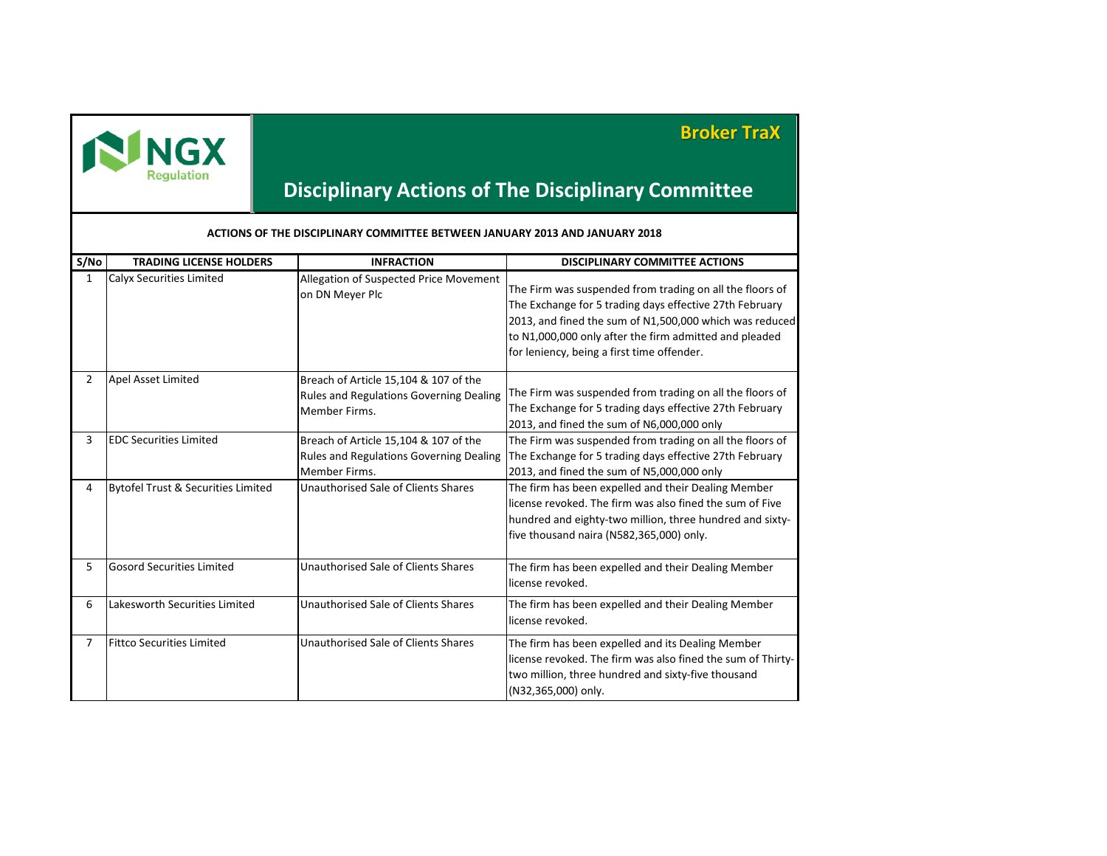

## **Broker TraX**

## **Disciplinary Actions of The Disciplinary Committee**

| S/No                  | <b>TRADING LICENSE HOLDERS</b>                | <b>INFRACTION</b>                                                                                        | <b>DISCIPLINARY COMMITTEE ACTIONS</b>                                                                                                                                                                                                                                                  |  |  |  |
|-----------------------|-----------------------------------------------|----------------------------------------------------------------------------------------------------------|----------------------------------------------------------------------------------------------------------------------------------------------------------------------------------------------------------------------------------------------------------------------------------------|--|--|--|
| 1                     | Calyx Securities Limited                      | Allegation of Suspected Price Movement<br>on DN Meyer Plc                                                | The Firm was suspended from trading on all the floors of<br>The Exchange for 5 trading days effective 27th February<br>2013, and fined the sum of N1,500,000 which was reduced<br>to N1,000,000 only after the firm admitted and pleaded<br>for leniency, being a first time offender. |  |  |  |
| $\mathbf{2}^{\prime}$ | Apel Asset Limited                            | Breach of Article 15,104 & 107 of the<br><b>Rules and Regulations Governing Dealing</b><br>Member Firms. | The Firm was suspended from trading on all the floors of<br>The Exchange for 5 trading days effective 27th February<br>2013, and fined the sum of N6,000,000 only                                                                                                                      |  |  |  |
| 3                     | <b>EDC Securities Limited</b>                 | Breach of Article 15,104 & 107 of the<br><b>Rules and Regulations Governing Dealing</b><br>Member Firms. | The Firm was suspended from trading on all the floors of<br>The Exchange for 5 trading days effective 27th February<br>2013, and fined the sum of N5,000,000 only                                                                                                                      |  |  |  |
| 4                     | <b>Bytofel Trust &amp; Securities Limited</b> | Unauthorised Sale of Clients Shares                                                                      | The firm has been expelled and their Dealing Member<br>license revoked. The firm was also fined the sum of Five<br>hundred and eighty-two million, three hundred and sixty-<br>five thousand naira (N582,365,000) only.                                                                |  |  |  |
| 5                     | <b>Gosord Securities Limited</b>              | Unauthorised Sale of Clients Shares                                                                      | The firm has been expelled and their Dealing Member<br>license revoked.                                                                                                                                                                                                                |  |  |  |
| 6                     | Lakesworth Securities Limited                 | Unauthorised Sale of Clients Shares                                                                      | The firm has been expelled and their Dealing Member<br>license revoked.                                                                                                                                                                                                                |  |  |  |
| 7                     | <b>Fittco Securities Limited</b>              | Unauthorised Sale of Clients Shares                                                                      | The firm has been expelled and its Dealing Member<br>license revoked. The firm was also fined the sum of Thirty-<br>two million, three hundred and sixty-five thousand<br>(N32,365,000) only.                                                                                          |  |  |  |

**ACTIONS OF THE DISCIPLINARY COMMITTEE BETWEEN JANUARY 2013 AND JANUARY 2018**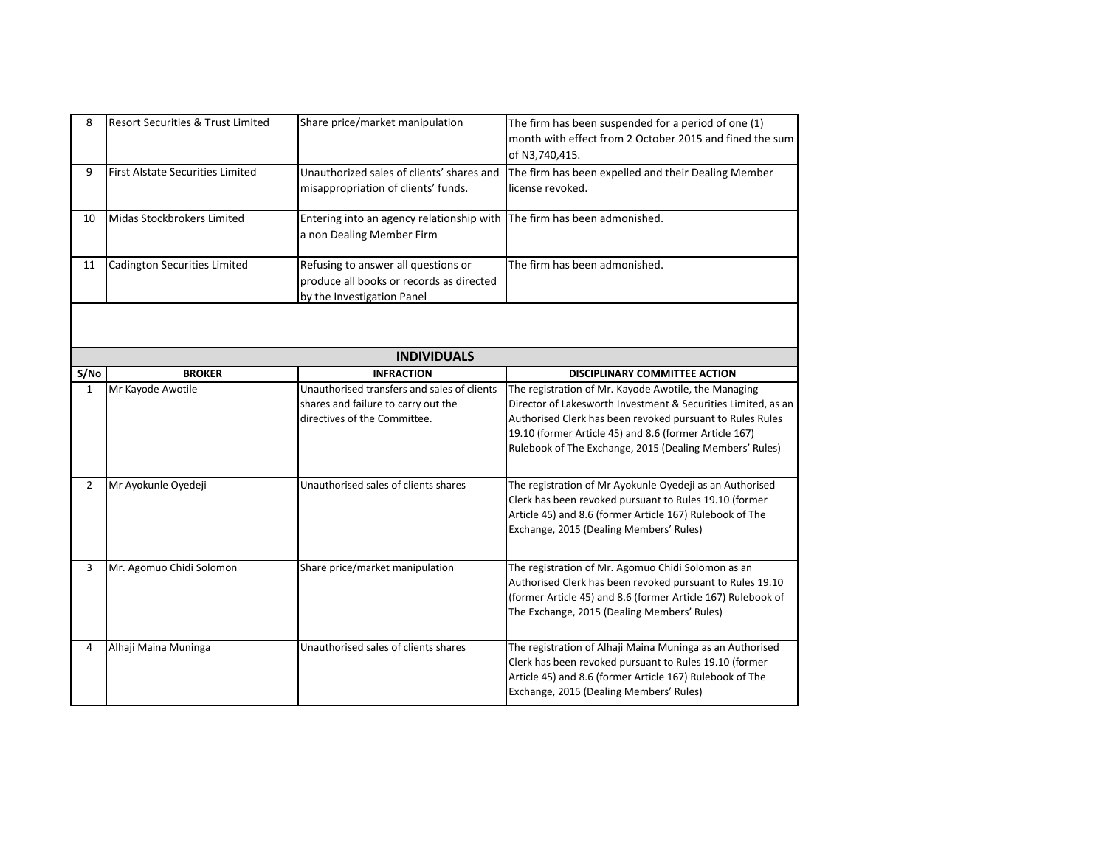| 8              | <b>Resort Securities &amp; Trust Limited</b> | Share price/market manipulation                                                                                    | The firm has been suspended for a period of one (1)<br>month with effect from 2 October 2015 and fined the sum<br>of N3,740,415.                                                                                                                                                                        |
|----------------|----------------------------------------------|--------------------------------------------------------------------------------------------------------------------|---------------------------------------------------------------------------------------------------------------------------------------------------------------------------------------------------------------------------------------------------------------------------------------------------------|
| 9              | <b>First Alstate Securities Limited</b>      | Unauthorized sales of clients' shares and<br>misappropriation of clients' funds.                                   | The firm has been expelled and their Dealing Member<br>license revoked.                                                                                                                                                                                                                                 |
| 10             | Midas Stockbrokers Limited                   | Entering into an agency relationship with<br>a non Dealing Member Firm                                             | The firm has been admonished.                                                                                                                                                                                                                                                                           |
| 11             | Cadington Securities Limited                 | Refusing to answer all questions or<br>produce all books or records as directed<br>by the Investigation Panel      | The firm has been admonished.                                                                                                                                                                                                                                                                           |
|                |                                              |                                                                                                                    |                                                                                                                                                                                                                                                                                                         |
|                |                                              | <b>INDIVIDUALS</b>                                                                                                 |                                                                                                                                                                                                                                                                                                         |
| S/No           | <b>BROKER</b>                                | <b>INFRACTION</b>                                                                                                  | DISCIPLINARY COMMITTEE ACTION                                                                                                                                                                                                                                                                           |
| $\mathbf{1}$   | Mr Kayode Awotile                            | Unauthorised transfers and sales of clients<br>shares and failure to carry out the<br>directives of the Committee. | The registration of Mr. Kayode Awotile, the Managing<br>Director of Lakesworth Investment & Securities Limited, as an<br>Authorised Clerk has been revoked pursuant to Rules Rules<br>19.10 (former Article 45) and 8.6 (former Article 167)<br>Rulebook of The Exchange, 2015 (Dealing Members' Rules) |
| $\overline{2}$ | Mr Ayokunle Oyedeji                          | Unauthorised sales of clients shares                                                                               | The registration of Mr Ayokunle Oyedeji as an Authorised<br>Clerk has been revoked pursuant to Rules 19.10 (former<br>Article 45) and 8.6 (former Article 167) Rulebook of The<br>Exchange, 2015 (Dealing Members' Rules)                                                                               |
| 3              | Mr. Agomuo Chidi Solomon                     | Share price/market manipulation                                                                                    | The registration of Mr. Agomuo Chidi Solomon as an<br>Authorised Clerk has been revoked pursuant to Rules 19.10<br>(former Article 45) and 8.6 (former Article 167) Rulebook of<br>The Exchange, 2015 (Dealing Members' Rules)                                                                          |
| 4              | Alhaji Maina Muninga                         | Unauthorised sales of clients shares                                                                               | The registration of Alhaji Maina Muninga as an Authorised<br>Clerk has been revoked pursuant to Rules 19.10 (former<br>Article 45) and 8.6 (former Article 167) Rulebook of The<br>Exchange, 2015 (Dealing Members' Rules)                                                                              |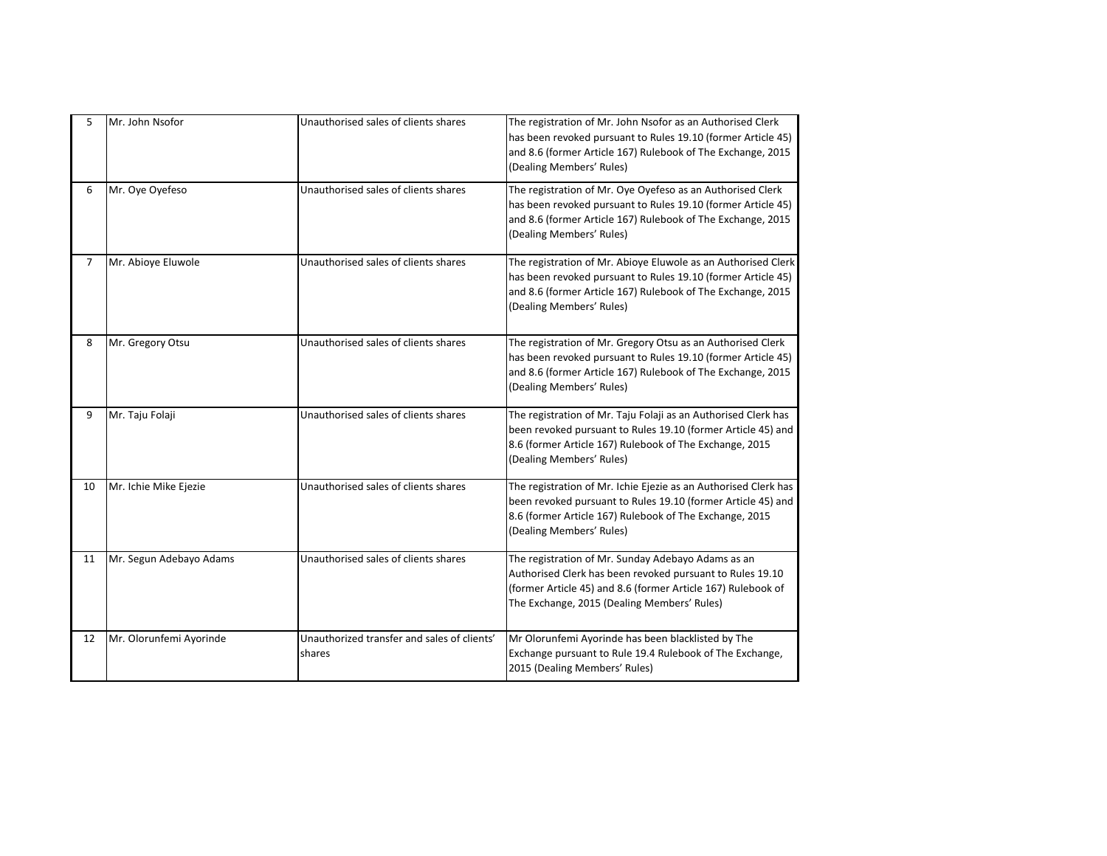| 5  | Mr. John Nsofor         | Unauthorised sales of clients shares                  | The registration of Mr. John Nsofor as an Authorised Clerk<br>has been revoked pursuant to Rules 19.10 (former Article 45)<br>and 8.6 (former Article 167) Rulebook of The Exchange, 2015<br>(Dealing Members' Rules)          |
|----|-------------------------|-------------------------------------------------------|--------------------------------------------------------------------------------------------------------------------------------------------------------------------------------------------------------------------------------|
| 6  | Mr. Oye Oyefeso         | Unauthorised sales of clients shares                  | The registration of Mr. Oye Oyefeso as an Authorised Clerk<br>has been revoked pursuant to Rules 19.10 (former Article 45)<br>and 8.6 (former Article 167) Rulebook of The Exchange, 2015<br>(Dealing Members' Rules)          |
| 7  | Mr. Abioye Eluwole      | Unauthorised sales of clients shares                  | The registration of Mr. Abioye Eluwole as an Authorised Clerk<br>has been revoked pursuant to Rules 19.10 (former Article 45)<br>and 8.6 (former Article 167) Rulebook of The Exchange, 2015<br>(Dealing Members' Rules)       |
| 8  | Mr. Gregory Otsu        | Unauthorised sales of clients shares                  | The registration of Mr. Gregory Otsu as an Authorised Clerk<br>has been revoked pursuant to Rules 19.10 (former Article 45)<br>and 8.6 (former Article 167) Rulebook of The Exchange, 2015<br>(Dealing Members' Rules)         |
| 9  | Mr. Taju Folaji         | Unauthorised sales of clients shares                  | The registration of Mr. Taju Folaji as an Authorised Clerk has<br>been revoked pursuant to Rules 19.10 (former Article 45) and<br>8.6 (former Article 167) Rulebook of The Exchange, 2015<br>(Dealing Members' Rules)          |
| 10 | Mr. Ichie Mike Ejezie   | Unauthorised sales of clients shares                  | The registration of Mr. Ichie Ejezie as an Authorised Clerk has<br>been revoked pursuant to Rules 19.10 (former Article 45) and<br>8.6 (former Article 167) Rulebook of The Exchange, 2015<br>(Dealing Members' Rules)         |
| 11 | Mr. Segun Adebayo Adams | Unauthorised sales of clients shares                  | The registration of Mr. Sunday Adebayo Adams as an<br>Authorised Clerk has been revoked pursuant to Rules 19.10<br>(former Article 45) and 8.6 (former Article 167) Rulebook of<br>The Exchange, 2015 (Dealing Members' Rules) |
| 12 | Mr. Olorunfemi Ayorinde | Unauthorized transfer and sales of clients'<br>shares | Mr Olorunfemi Ayorinde has been blacklisted by The<br>Exchange pursuant to Rule 19.4 Rulebook of The Exchange,<br>2015 (Dealing Members' Rules)                                                                                |